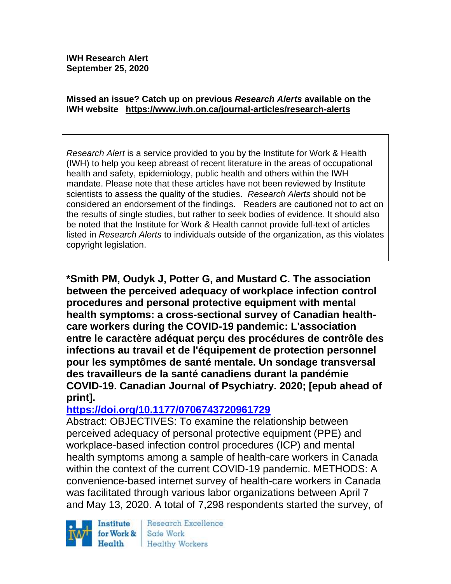**IWH Research Alert September 25, 2020**

#### **Missed an issue? Catch up on previous** *Research Alerts* **available on the [IWH website](http://www.iwh.on.ca/research-alerts) <https://www.iwh.on.ca/journal-articles/research-alerts>**

*Research Alert* is a service provided to you by the Institute for Work & Health (IWH) to help you keep abreast of recent literature in the areas of occupational health and safety, epidemiology, public health and others within the IWH mandate. Please note that these articles have not been reviewed by Institute scientists to assess the quality of the studies. *Research Alerts* should not be considered an endorsement of the findings. Readers are cautioned not to act on the results of single studies, but rather to seek bodies of evidence. It should also be noted that the Institute for Work & Health cannot provide full-text of articles listed in *Research Alerts* to individuals outside of the organization, as this violates copyright legislation.

**\*Smith PM, Oudyk J, Potter G, and Mustard C. The association between the perceived adequacy of workplace infection control procedures and personal protective equipment with mental health symptoms: a cross-sectional survey of Canadian healthcare workers during the COVID-19 pandemic: L'association entre le caractère adéquat perçu des procédures de contrôle des infections au travail et de l'équipement de protection personnel pour les symptômes de santé mentale. Un sondage transversal des travailleurs de la santé canadiens durant la pandémie COVID-19. Canadian Journal of Psychiatry. 2020; [epub ahead of print].** 

### **<https://doi.org/10.1177/0706743720961729>**

Abstract: OBJECTIVES: To examine the relationship between perceived adequacy of personal protective equipment (PPE) and workplace-based infection control procedures (ICP) and mental health symptoms among a sample of health-care workers in Canada within the context of the current COVID-19 pandemic. METHODS: A convenience-based internet survey of health-care workers in Canada was facilitated through various labor organizations between April 7 and May 13, 2020. A total of 7,298 respondents started the survey, of

Institute for Work & Health

Research Excellence Safe Work Healthy Workers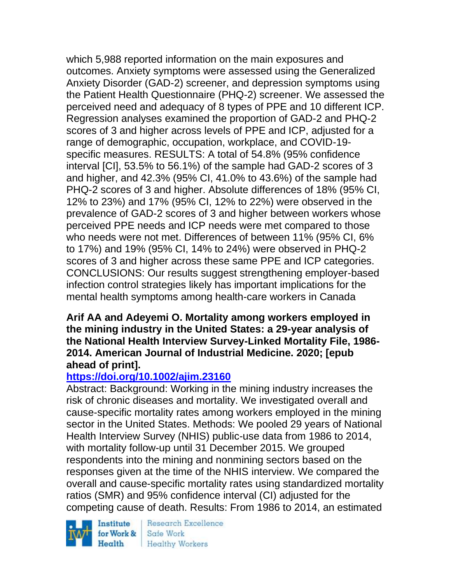which 5,988 reported information on the main exposures and outcomes. Anxiety symptoms were assessed using the Generalized Anxiety Disorder (GAD-2) screener, and depression symptoms using the Patient Health Questionnaire (PHQ-2) screener. We assessed the perceived need and adequacy of 8 types of PPE and 10 different ICP. Regression analyses examined the proportion of GAD-2 and PHQ-2 scores of 3 and higher across levels of PPE and ICP, adjusted for a range of demographic, occupation, workplace, and COVID-19 specific measures. RESULTS: A total of 54.8% (95% confidence interval [CI], 53.5% to 56.1%) of the sample had GAD-2 scores of 3 and higher, and 42.3% (95% CI, 41.0% to 43.6%) of the sample had PHQ-2 scores of 3 and higher. Absolute differences of 18% (95% CI, 12% to 23%) and 17% (95% CI, 12% to 22%) were observed in the prevalence of GAD-2 scores of 3 and higher between workers whose perceived PPE needs and ICP needs were met compared to those who needs were not met. Differences of between 11% (95% CI, 6% to 17%) and 19% (95% CI, 14% to 24%) were observed in PHQ-2 scores of 3 and higher across these same PPE and ICP categories. CONCLUSIONS: Our results suggest strengthening employer-based infection control strategies likely has important implications for the mental health symptoms among health-care workers in Canada

### **Arif AA and Adeyemi O. Mortality among workers employed in the mining industry in the United States: a 29-year analysis of the National Health Interview Survey-Linked Mortality File, 1986- 2014. American Journal of Industrial Medicine. 2020; [epub ahead of print].**

### **<https://doi.org/10.1002/ajim.23160>**

Abstract: Background: Working in the mining industry increases the risk of chronic diseases and mortality. We investigated overall and cause-specific mortality rates among workers employed in the mining sector in the United States. Methods: We pooled 29 years of National Health Interview Survey (NHIS) public-use data from 1986 to 2014, with mortality follow-up until 31 December 2015. We grouped respondents into the mining and nonmining sectors based on the responses given at the time of the NHIS interview. We compared the overall and cause-specific mortality rates using standardized mortality ratios (SMR) and 95% confidence interval (CI) adjusted for the competing cause of death. Results: From 1986 to 2014, an estimated

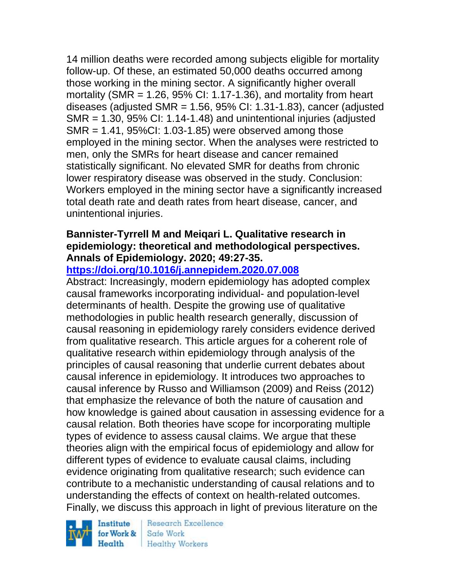14 million deaths were recorded among subjects eligible for mortality follow-up. Of these, an estimated 50,000 deaths occurred among those working in the mining sector. A significantly higher overall mortality (SMR =  $1.26$ , 95% CI: 1.17-1.36), and mortality from heart diseases (adjusted SMR =  $1.56$ ,  $95\%$  CI:  $1.31-1.83$ ), cancer (adjusted SMR = 1.30, 95% CI: 1.14-1.48) and unintentional injuries (adjusted SMR = 1.41, 95%CI: 1.03-1.85) were observed among those employed in the mining sector. When the analyses were restricted to men, only the SMRs for heart disease and cancer remained statistically significant. No elevated SMR for deaths from chronic lower respiratory disease was observed in the study. Conclusion: Workers employed in the mining sector have a significantly increased total death rate and death rates from heart disease, cancer, and unintentional injuries.

# **Bannister-Tyrrell M and Meiqari L. Qualitative research in epidemiology: theoretical and methodological perspectives. Annals of Epidemiology. 2020; 49:27-35.**

# **<https://doi.org/10.1016/j.annepidem.2020.07.008>**

Abstract: Increasingly, modern epidemiology has adopted complex causal frameworks incorporating individual- and population-level determinants of health. Despite the growing use of qualitative methodologies in public health research generally, discussion of causal reasoning in epidemiology rarely considers evidence derived from qualitative research. This article argues for a coherent role of qualitative research within epidemiology through analysis of the principles of causal reasoning that underlie current debates about causal inference in epidemiology. It introduces two approaches to causal inference by Russo and Williamson (2009) and Reiss (2012) that emphasize the relevance of both the nature of causation and how knowledge is gained about causation in assessing evidence for a causal relation. Both theories have scope for incorporating multiple types of evidence to assess causal claims. We argue that these theories align with the empirical focus of epidemiology and allow for different types of evidence to evaluate causal claims, including evidence originating from qualitative research; such evidence can contribute to a mechanistic understanding of causal relations and to understanding the effects of context on health-related outcomes. Finally, we discuss this approach in light of previous literature on the

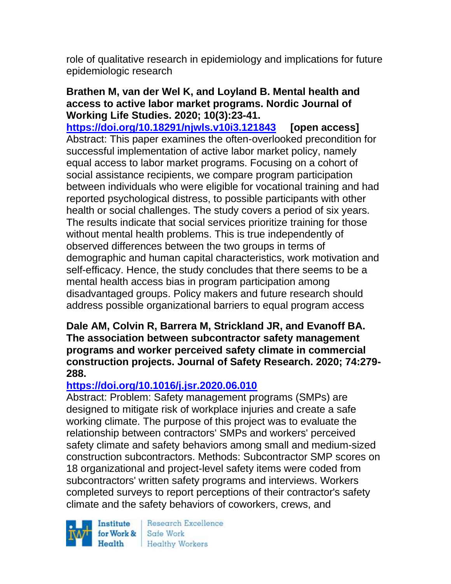role of qualitative research in epidemiology and implications for future epidemiologic research

#### **Brathen M, van der Wel K, and Loyland B. Mental health and access to active labor market programs. Nordic Journal of Working Life Studies. 2020; 10(3):23-41.**

**<https://doi.org/10.18291/njwls.v10i3.121843> [open access]** Abstract: This paper examines the often-overlooked precondition for successful implementation of active labor market policy, namely equal access to labor market programs. Focusing on a cohort of social assistance recipients, we compare program participation between individuals who were eligible for vocational training and had reported psychological distress, to possible participants with other health or social challenges. The study covers a period of six years. The results indicate that social services prioritize training for those without mental health problems. This is true independently of observed differences between the two groups in terms of demographic and human capital characteristics, work motivation and self-efficacy. Hence, the study concludes that there seems to be a mental health access bias in program participation among disadvantaged groups. Policy makers and future research should address possible organizational barriers to equal program access

**Dale AM, Colvin R, Barrera M, Strickland JR, and Evanoff BA. The association between subcontractor safety management programs and worker perceived safety climate in commercial construction projects. Journal of Safety Research. 2020; 74:279- 288.** 

# **<https://doi.org/10.1016/j.jsr.2020.06.010>**

Abstract: Problem: Safety management programs (SMPs) are designed to mitigate risk of workplace injuries and create a safe working climate. The purpose of this project was to evaluate the relationship between contractors' SMPs and workers' perceived safety climate and safety behaviors among small and medium-sized construction subcontractors. Methods: Subcontractor SMP scores on 18 organizational and project-level safety items were coded from subcontractors' written safety programs and interviews. Workers completed surveys to report perceptions of their contractor's safety climate and the safety behaviors of coworkers, crews, and

Institute Health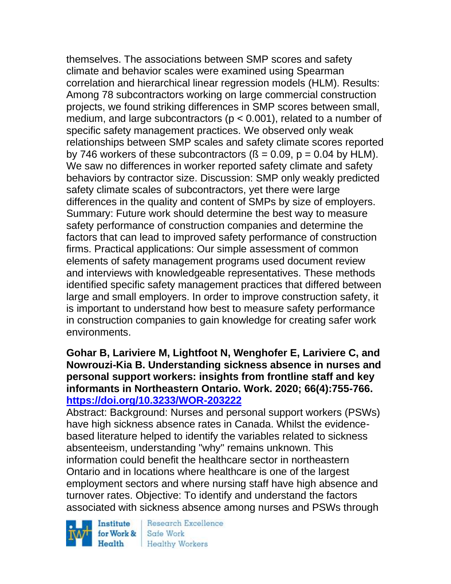themselves. The associations between SMP scores and safety climate and behavior scales were examined using Spearman correlation and hierarchical linear regression models (HLM). Results: Among 78 subcontractors working on large commercial construction projects, we found striking differences in SMP scores between small, medium, and large subcontractors ( $p < 0.001$ ), related to a number of specific safety management practices. We observed only weak relationships between SMP scales and safety climate scores reported by 746 workers of these subcontractors  $(S = 0.09, p = 0.04$  by HLM). We saw no differences in worker reported safety climate and safety behaviors by contractor size. Discussion: SMP only weakly predicted safety climate scales of subcontractors, yet there were large differences in the quality and content of SMPs by size of employers. Summary: Future work should determine the best way to measure safety performance of construction companies and determine the factors that can lead to improved safety performance of construction firms. Practical applications: Our simple assessment of common elements of safety management programs used document review and interviews with knowledgeable representatives. These methods identified specific safety management practices that differed between large and small employers. In order to improve construction safety, it is important to understand how best to measure safety performance in construction companies to gain knowledge for creating safer work environments.

### **Gohar B, Lariviere M, Lightfoot N, Wenghofer E, Lariviere C, and Nowrouzi-Kia B. Understanding sickness absence in nurses and personal support workers: insights from frontline staff and key informants in Northeastern Ontario. Work. 2020; 66(4):755-766. <https://doi.org/10.3233/WOR-203222>**

Abstract: Background: Nurses and personal support workers (PSWs) have high sickness absence rates in Canada. Whilst the evidencebased literature helped to identify the variables related to sickness absenteeism, understanding "why" remains unknown. This information could benefit the healthcare sector in northeastern Ontario and in locations where healthcare is one of the largest employment sectors and where nursing staff have high absence and turnover rates. Objective: To identify and understand the factors associated with sickness absence among nurses and PSWs through

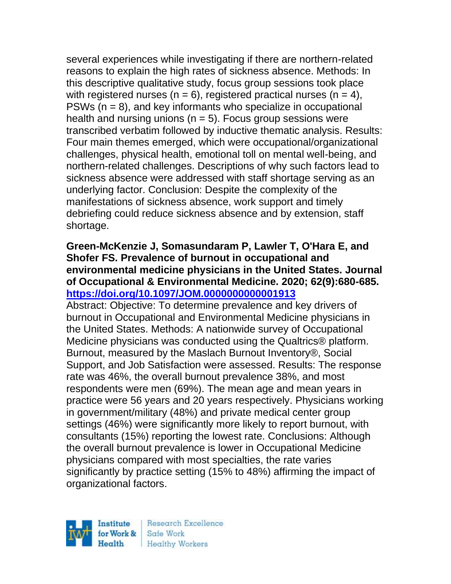several experiences while investigating if there are northern-related reasons to explain the high rates of sickness absence. Methods: In this descriptive qualitative study, focus group sessions took place with registered nurses ( $n = 6$ ), registered practical nurses ( $n = 4$ ), PSWs  $(n = 8)$ , and key informants who specialize in occupational health and nursing unions ( $n = 5$ ). Focus group sessions were transcribed verbatim followed by inductive thematic analysis. Results: Four main themes emerged, which were occupational/organizational challenges, physical health, emotional toll on mental well-being, and northern-related challenges. Descriptions of why such factors lead to sickness absence were addressed with staff shortage serving as an underlying factor. Conclusion: Despite the complexity of the manifestations of sickness absence, work support and timely debriefing could reduce sickness absence and by extension, staff shortage.

### **Green-McKenzie J, Somasundaram P, Lawler T, O'Hara E, and Shofer FS. Prevalence of burnout in occupational and environmental medicine physicians in the United States. Journal of Occupational & Environmental Medicine. 2020; 62(9):680-685. <https://doi.org/10.1097/JOM.0000000000001913>**

Abstract: Objective: To determine prevalence and key drivers of burnout in Occupational and Environmental Medicine physicians in the United States. Methods: A nationwide survey of Occupational Medicine physicians was conducted using the Qualtrics® platform. Burnout, measured by the Maslach Burnout Inventory®, Social Support, and Job Satisfaction were assessed. Results: The response rate was 46%, the overall burnout prevalence 38%, and most respondents were men (69%). The mean age and mean years in practice were 56 years and 20 years respectively. Physicians working in government/military (48%) and private medical center group settings (46%) were significantly more likely to report burnout, with consultants (15%) reporting the lowest rate. Conclusions: Although the overall burnout prevalence is lower in Occupational Medicine physicians compared with most specialties, the rate varies significantly by practice setting (15% to 48%) affirming the impact of organizational factors.

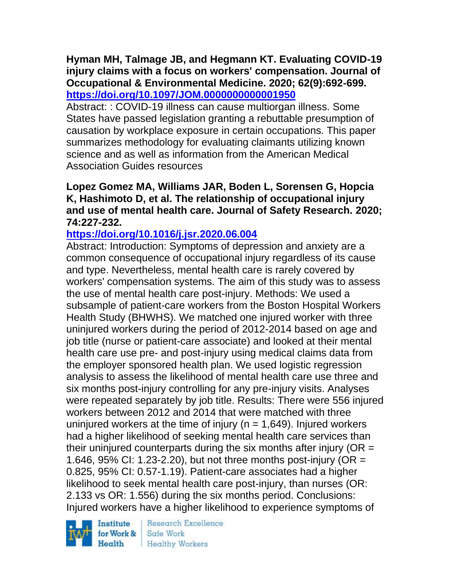**Hyman MH, Talmage JB, and Hegmann KT. Evaluating COVID-19 injury claims with a focus on workers' compensation. Journal of Occupational & Environmental Medicine. 2020; 62(9):692-699. <https://doi.org/10.1097/JOM.0000000000001950>** 

Abstract: : COVID-19 illness can cause multiorgan illness. Some States have passed legislation granting a rebuttable presumption of causation by workplace exposure in certain occupations. This paper summarizes methodology for evaluating claimants utilizing known science and as well as information from the American Medical Association Guides resources

### **Lopez Gomez MA, Williams JAR, Boden L, Sorensen G, Hopcia K, Hashimoto D, et al. The relationship of occupational injury and use of mental health care. Journal of Safety Research. 2020; 74:227-232.**

### **<https://doi.org/10.1016/j.jsr.2020.06.004>**

Abstract: Introduction: Symptoms of depression and anxiety are a common consequence of occupational injury regardless of its cause and type. Nevertheless, mental health care is rarely covered by workers' compensation systems. The aim of this study was to assess the use of mental health care post-injury. Methods: We used a subsample of patient-care workers from the Boston Hospital Workers Health Study (BHWHS). We matched one injured worker with three uninjured workers during the period of 2012-2014 based on age and job title (nurse or patient-care associate) and looked at their mental health care use pre- and post-injury using medical claims data from the employer sponsored health plan. We used logistic regression analysis to assess the likelihood of mental health care use three and six months post-injury controlling for any pre-injury visits. Analyses were repeated separately by job title. Results: There were 556 injured workers between 2012 and 2014 that were matched with three uninjured workers at the time of injury ( $n = 1,649$ ). Injured workers had a higher likelihood of seeking mental health care services than their uninjured counterparts during the six months after injury ( $OR =$ 1.646, 95% CI: 1.23-2.20), but not three months post-injury (OR = 0.825, 95% CI: 0.57-1.19). Patient-care associates had a higher likelihood to seek mental health care post-injury, than nurses (OR: 2.133 vs OR: 1.556) during the six months period. Conclusions: Injured workers have a higher likelihood to experience symptoms of

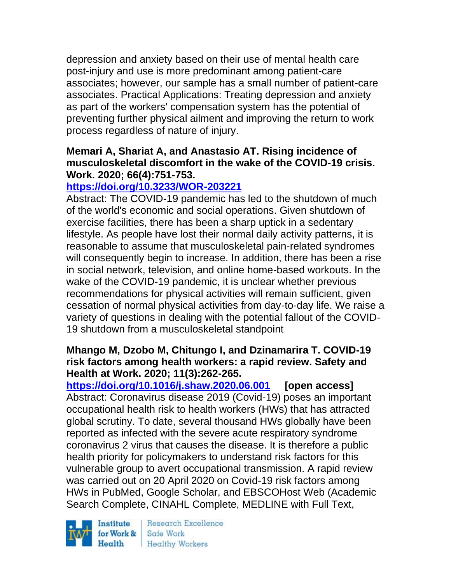depression and anxiety based on their use of mental health care post-injury and use is more predominant among patient-care associates; however, our sample has a small number of patient-care associates. Practical Applications: Treating depression and anxiety as part of the workers' compensation system has the potential of preventing further physical ailment and improving the return to work process regardless of nature of injury.

### **Memari A, Shariat A, and Anastasio AT. Rising incidence of musculoskeletal discomfort in the wake of the COVID-19 crisis. Work. 2020; 66(4):751-753.**

# **<https://doi.org/10.3233/WOR-203221>**

Abstract: The COVID-19 pandemic has led to the shutdown of much of the world's economic and social operations. Given shutdown of exercise facilities, there has been a sharp uptick in a sedentary lifestyle. As people have lost their normal daily activity patterns, it is reasonable to assume that musculoskeletal pain-related syndromes will consequently begin to increase. In addition, there has been a rise in social network, television, and online home-based workouts. In the wake of the COVID-19 pandemic, it is unclear whether previous recommendations for physical activities will remain sufficient, given cessation of normal physical activities from day-to-day life. We raise a variety of questions in dealing with the potential fallout of the COVID-19 shutdown from a musculoskeletal standpoint

### **Mhango M, Dzobo M, Chitungo I, and Dzinamarira T. COVID-19 risk factors among health workers: a rapid review. Safety and Health at Work. 2020; 11(3):262-265.**

**<https://doi.org/10.1016/j.shaw.2020.06.001> [open access]** Abstract: Coronavirus disease 2019 (Covid-19) poses an important occupational health risk to health workers (HWs) that has attracted global scrutiny. To date, several thousand HWs globally have been reported as infected with the severe acute respiratory syndrome coronavirus 2 virus that causes the disease. It is therefore a public health priority for policymakers to understand risk factors for this vulnerable group to avert occupational transmission. A rapid review was carried out on 20 April 2020 on Covid-19 risk factors among HWs in PubMed, Google Scholar, and EBSCOHost Web (Academic Search Complete, CINAHL Complete, MEDLINE with Full Text,

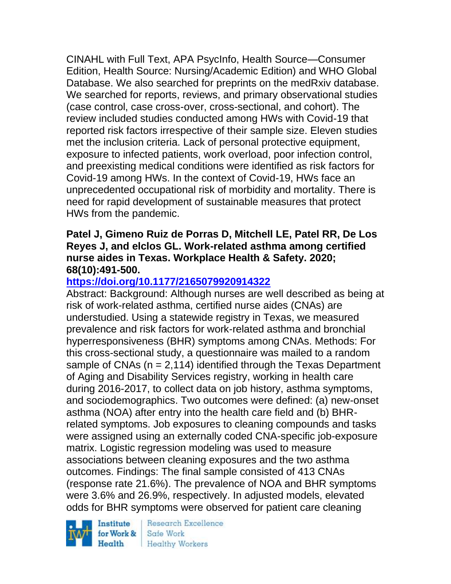CINAHL with Full Text, APA PsycInfo, Health Source—Consumer Edition, Health Source: Nursing/Academic Edition) and WHO Global Database. We also searched for preprints on the medRxiv database. We searched for reports, reviews, and primary observational studies (case control, case cross-over, cross-sectional, and cohort). The review included studies conducted among HWs with Covid-19 that reported risk factors irrespective of their sample size. Eleven studies met the inclusion criteria. Lack of personal protective equipment, exposure to infected patients, work overload, poor infection control, and preexisting medical conditions were identified as risk factors for Covid-19 among HWs. In the context of Covid-19, HWs face an unprecedented occupational risk of morbidity and mortality. There is need for rapid development of sustainable measures that protect HWs from the pandemic.

#### **Patel J, Gimeno Ruiz de Porras D, Mitchell LE, Patel RR, De Los Reyes J, and elclos GL. Work-related asthma among certified nurse aides in Texas. Workplace Health & Safety. 2020; 68(10):491-500.**

### **<https://doi.org/10.1177/2165079920914322>**

Abstract: Background: Although nurses are well described as being at risk of work-related asthma, certified nurse aides (CNAs) are understudied. Using a statewide registry in Texas, we measured prevalence and risk factors for work-related asthma and bronchial hyperresponsiveness (BHR) symptoms among CNAs. Methods: For this cross-sectional study, a questionnaire was mailed to a random sample of CNAs  $(n = 2,114)$  identified through the Texas Department of Aging and Disability Services registry, working in health care during 2016-2017, to collect data on job history, asthma symptoms, and sociodemographics. Two outcomes were defined: (a) new-onset asthma (NOA) after entry into the health care field and (b) BHRrelated symptoms. Job exposures to cleaning compounds and tasks were assigned using an externally coded CNA-specific job-exposure matrix. Logistic regression modeling was used to measure associations between cleaning exposures and the two asthma outcomes. Findings: The final sample consisted of 413 CNAs (response rate 21.6%). The prevalence of NOA and BHR symptoms were 3.6% and 26.9%, respectively. In adjusted models, elevated odds for BHR symptoms were observed for patient care cleaning

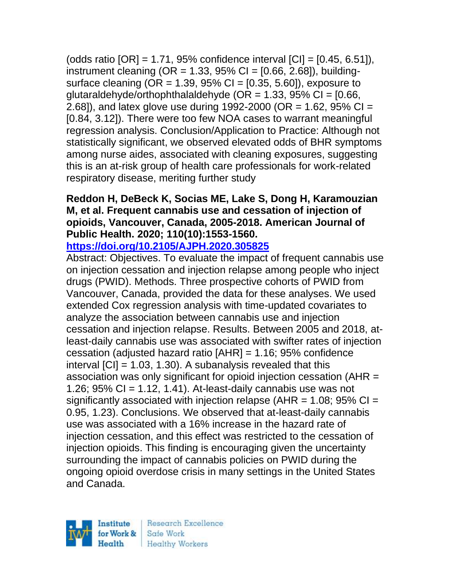(odds ratio [OR] = 1.71, 95% confidence interval [CI] = [0.45, 6.51]), instrument cleaning ( $OR = 1.33$ ,  $95\% CI = [0.66, 2.68]$ ), buildingsurface cleaning ( $OR = 1.39$ ,  $95\%$  Cl =  $[0.35, 5.60]$ ), exposure to glutaraldehyde/orthophthalaldehyde ( $OR = 1.33$ , 95% CI = [0.66, 2.68]), and latex glove use during 1992-2000 (OR = 1.62, 95% CI = [0.84, 3.12]). There were too few NOA cases to warrant meaningful regression analysis. Conclusion/Application to Practice: Although not statistically significant, we observed elevated odds of BHR symptoms among nurse aides, associated with cleaning exposures, suggesting this is an at-risk group of health care professionals for work-related respiratory disease, meriting further study

#### **Reddon H, DeBeck K, Socias ME, Lake S, Dong H, Karamouzian M, et al. Frequent cannabis use and cessation of injection of opioids, Vancouver, Canada, 2005-2018. American Journal of Public Health. 2020; 110(10):1553-1560. <https://doi.org/10.2105/AJPH.2020.305825>**

Abstract: Objectives. To evaluate the impact of frequent cannabis use on injection cessation and injection relapse among people who inject drugs (PWID). Methods. Three prospective cohorts of PWID from Vancouver, Canada, provided the data for these analyses. We used extended Cox regression analysis with time-updated covariates to analyze the association between cannabis use and injection cessation and injection relapse. Results. Between 2005 and 2018, atleast-daily cannabis use was associated with swifter rates of injection cessation (adjusted hazard ratio [AHR] = 1.16; 95% confidence interval  $\text{[C]} = 1.03, 1.30$ . A subanalysis revealed that this association was only significant for opioid injection cessation (AHR = 1.26;  $95\%$  CI = 1.12, 1.41). At-least-daily cannabis use was not significantly associated with injection relapse ( $AHR = 1.08$ ; 95% CI = 0.95, 1.23). Conclusions. We observed that at-least-daily cannabis use was associated with a 16% increase in the hazard rate of injection cessation, and this effect was restricted to the cessation of injection opioids. This finding is encouraging given the uncertainty surrounding the impact of cannabis policies on PWID during the ongoing opioid overdose crisis in many settings in the United States and Canada.

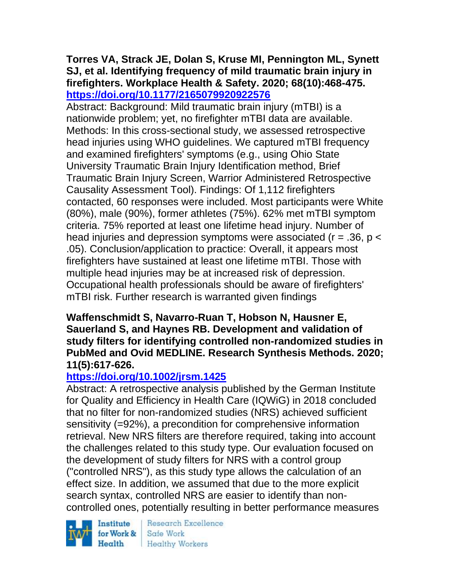### **Torres VA, Strack JE, Dolan S, Kruse MI, Pennington ML, Synett SJ, et al. Identifying frequency of mild traumatic brain injury in firefighters. Workplace Health & Safety. 2020; 68(10):468-475. <https://doi.org/10.1177/2165079920922576>**

Abstract: Background: Mild traumatic brain injury (mTBI) is a nationwide problem; yet, no firefighter mTBI data are available. Methods: In this cross-sectional study, we assessed retrospective head injuries using WHO guidelines. We captured mTBI frequency and examined firefighters' symptoms (e.g., using Ohio State University Traumatic Brain Injury Identification method, Brief Traumatic Brain Injury Screen, Warrior Administered Retrospective Causality Assessment Tool). Findings: Of 1,112 firefighters contacted, 60 responses were included. Most participants were White (80%), male (90%), former athletes (75%). 62% met mTBI symptom criteria. 75% reported at least one lifetime head injury. Number of head injuries and depression symptoms were associated ( $r = .36$ ,  $p <$ .05). Conclusion/application to practice: Overall, it appears most firefighters have sustained at least one lifetime mTBI. Those with multiple head injuries may be at increased risk of depression. Occupational health professionals should be aware of firefighters' mTBI risk. Further research is warranted given findings

### **Waffenschmidt S, Navarro-Ruan T, Hobson N, Hausner E, Sauerland S, and Haynes RB. Development and validation of study filters for identifying controlled non-randomized studies in PubMed and Ovid MEDLINE. Research Synthesis Methods. 2020; 11(5):617-626.**

### **<https://doi.org/10.1002/jrsm.1425>**

Abstract: A retrospective analysis published by the German Institute for Quality and Efficiency in Health Care (IQWiG) in 2018 concluded that no filter for non-randomized studies (NRS) achieved sufficient sensitivity (=92%), a precondition for comprehensive information retrieval. New NRS filters are therefore required, taking into account the challenges related to this study type. Our evaluation focused on the development of study filters for NRS with a control group ("controlled NRS"), as this study type allows the calculation of an effect size. In addition, we assumed that due to the more explicit search syntax, controlled NRS are easier to identify than noncontrolled ones, potentially resulting in better performance measures

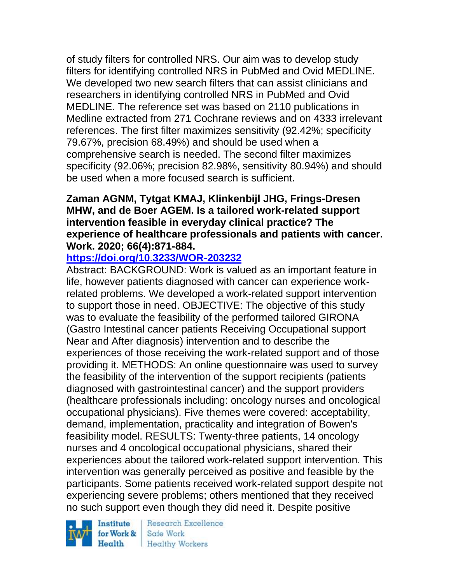of study filters for controlled NRS. Our aim was to develop study filters for identifying controlled NRS in PubMed and Ovid MEDLINE. We developed two new search filters that can assist clinicians and researchers in identifying controlled NRS in PubMed and Ovid MEDLINE. The reference set was based on 2110 publications in Medline extracted from 271 Cochrane reviews and on 4333 irrelevant references. The first filter maximizes sensitivity (92.42%; specificity 79.67%, precision 68.49%) and should be used when a comprehensive search is needed. The second filter maximizes specificity (92.06%; precision 82.98%, sensitivity 80.94%) and should be used when a more focused search is sufficient.

### **Zaman AGNM, Tytgat KMAJ, Klinkenbijl JHG, Frings-Dresen MHW, and de Boer AGEM. Is a tailored work-related support intervention feasible in everyday clinical practice? The experience of healthcare professionals and patients with cancer. Work. 2020; 66(4):871-884.**

### **<https://doi.org/10.3233/WOR-203232>**

Abstract: BACKGROUND: Work is valued as an important feature in life, however patients diagnosed with cancer can experience workrelated problems. We developed a work-related support intervention to support those in need. OBJECTIVE: The objective of this study was to evaluate the feasibility of the performed tailored GIRONA (Gastro Intestinal cancer patients Receiving Occupational support Near and After diagnosis) intervention and to describe the experiences of those receiving the work-related support and of those providing it. METHODS: An online questionnaire was used to survey the feasibility of the intervention of the support recipients (patients diagnosed with gastrointestinal cancer) and the support providers (healthcare professionals including: oncology nurses and oncological occupational physicians). Five themes were covered: acceptability, demand, implementation, practicality and integration of Bowen's feasibility model. RESULTS: Twenty-three patients, 14 oncology nurses and 4 oncological occupational physicians, shared their experiences about the tailored work-related support intervention. This intervention was generally perceived as positive and feasible by the participants. Some patients received work-related support despite not experiencing severe problems; others mentioned that they received no such support even though they did need it. Despite positive

Institute